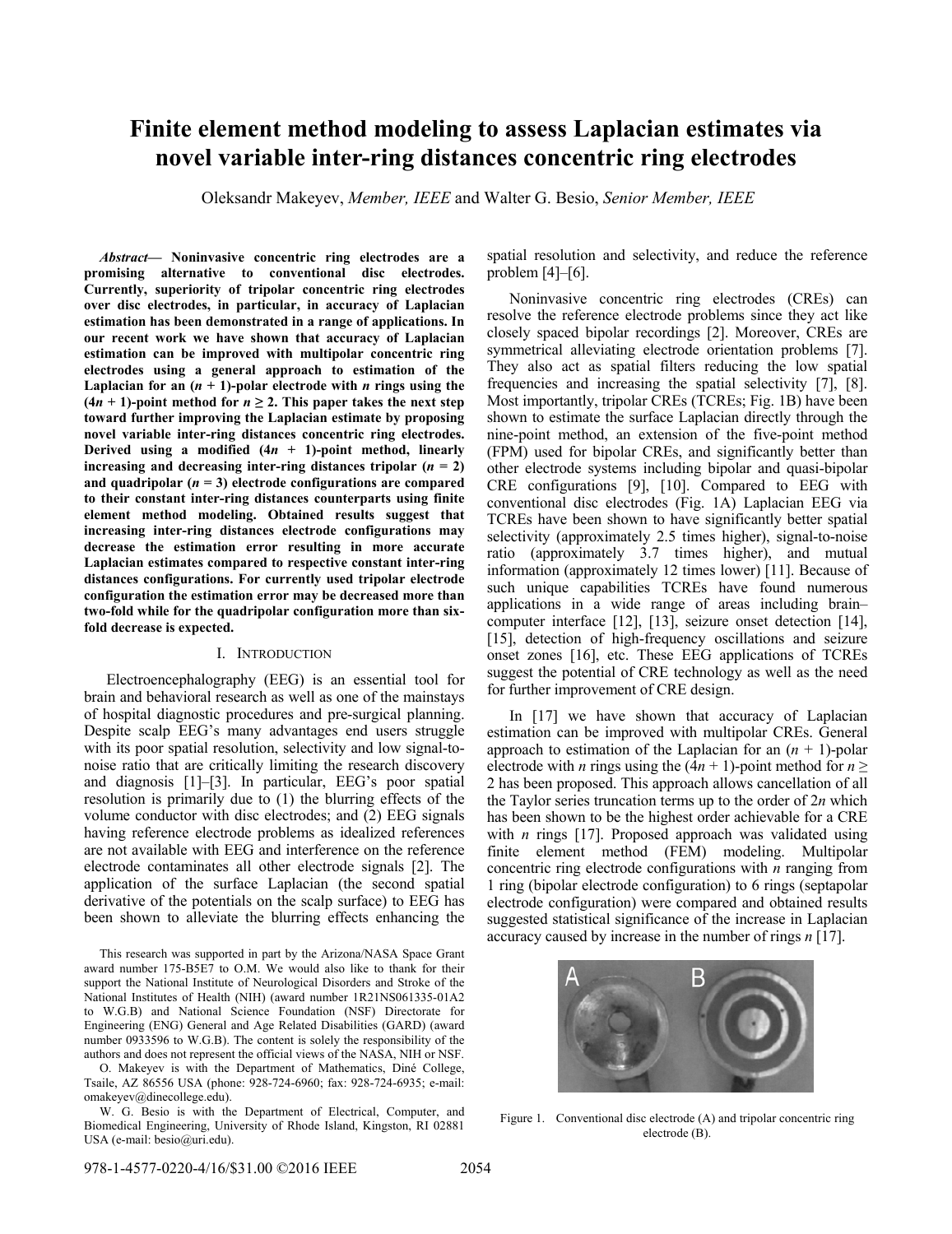# **Finite element method modeling to assess Laplacian estimates via novel variable inter-ring distances concentric ring electrodes**

Oleksandr Makeyev, *Member, IEEE* and Walter G. Besio, *Senior Member, IEEE*

*Abstract***— Noninvasive concentric ring electrodes are a promising alternative to conventional disc electrodes. Currently, superiority of tripolar concentric ring electrodes over disc electrodes, in particular, in accuracy of Laplacian estimation has been demonstrated in a range of applications. In our recent work we have shown that accuracy of Laplacian estimation can be improved with multipolar concentric ring electrodes using a general approach to estimation of the**  Laplacian for an  $(n + 1)$ -polar electrode with *n* rings using the  $(4n + 1)$ -point method for  $n \ge 2$ . This paper takes the next step **toward further improving the Laplacian estimate by proposing novel variable inter-ring distances concentric ring electrodes. Derived using a modified**  $(4n + 1)$ **-point method, linearly increasing and decreasing inter-ring distances tripolar**  $(n = 2)$ and quadripolar  $(n = 3)$  electrode configurations are compared **to their constant inter-ring distances counterparts using finite element method modeling. Obtained results suggest that increasing inter-ring distances electrode configurations may decrease the estimation error resulting in more accurate Laplacian estimates compared to respective constant inter-ring distances configurations. For currently used tripolar electrode configuration the estimation error may be decreased more than two-fold while for the quadripolar configuration more than sixfold decrease is expected.** 

#### I. INTRODUCTION

Electroencephalography (EEG) is an essential tool for brain and behavioral research as well as one of the mainstays of hospital diagnostic procedures and pre-surgical planning. Despite scalp EEG's many advantages end users struggle with its poor spatial resolution, selectivity and low signal-tonoise ratio that are critically limiting the research discovery and diagnosis [1]–[3]. In particular, EEG's poor spatial resolution is primarily due to (1) the blurring effects of the volume conductor with disc electrodes; and (2) EEG signals having reference electrode problems as idealized references are not available with EEG and interference on the reference electrode contaminates all other electrode signals [2]. The application of the surface Laplacian (the second spatial derivative of the potentials on the scalp surface) to EEG has been shown to alleviate the blurring effects enhancing the

This research was supported in part by the Arizona/NASA Space Grant award number 175-B5E7 to O.M. We would also like to thank for their support the National Institute of Neurological Disorders and Stroke of the National Institutes of Health (NIH) (award number 1R21NS061335-01A2 to W.G.B) and National Science Foundation (NSF) Directorate for Engineering (ENG) General and Age Related Disabilities (GARD) (award number 0933596 to W.G.B). The content is solely the responsibility of the authors and does not represent the official views of the NASA, NIH or NSF.

O. Makeyev is with the Department of Mathematics, Diné College, Tsaile, AZ 86556 USA (phone: 928-724-6960; fax: 928-724-6935; e-mail: omakeyev@dinecollege.edu).

W. G. Besio is with the Department of Electrical, Computer, and Biomedical Engineering, University of Rhode Island, Kingston, RI 02881 USA (e-mail: besio@uri.edu).

spatial resolution and selectivity, and reduce the reference problem  $[4]-[6]$ .

Noninvasive concentric ring electrodes (CREs) can resolve the reference electrode problems since they act like closely spaced bipolar recordings [2]. Moreover, CREs are symmetrical alleviating electrode orientation problems [7]. They also act as spatial filters reducing the low spatial frequencies and increasing the spatial selectivity [7], [8]. Most importantly, tripolar CREs (TCREs; Fig. 1B) have been shown to estimate the surface Laplacian directly through the nine-point method, an extension of the five-point method (FPM) used for bipolar CREs, and significantly better than other electrode systems including bipolar and quasi-bipolar CRE configurations [9], [10]. Compared to EEG with conventional disc electrodes (Fig. 1A) Laplacian EEG via TCREs have been shown to have significantly better spatial selectivity (approximately 2.5 times higher), signal-to-noise ratio (approximately 3.7 times higher), and mutual information (approximately 12 times lower) [11]. Because of such unique capabilities TCREs have found numerous applications in a wide range of areas including brain– computer interface [12], [13], seizure onset detection [14], [15], detection of high-frequency oscillations and seizure onset zones [16], etc. These EEG applications of TCREs suggest the potential of CRE technology as well as the need for further improvement of CRE design.

In [17] we have shown that accuracy of Laplacian estimation can be improved with multipolar CREs. General approach to estimation of the Laplacian for an  $(n + 1)$ -polar electrode with *n* rings using the  $(4n + 1)$ -point method for  $n \ge$ 2 has been proposed. This approach allows cancellation of all the Taylor series truncation terms up to the order of 2*n* which has been shown to be the highest order achievable for a CRE with *n* rings [17]. Proposed approach was validated using finite element method (FEM) modeling. Multipolar concentric ring electrode configurations with *n* ranging from 1 ring (bipolar electrode configuration) to 6 rings (septapolar electrode configuration) were compared and obtained results suggested statistical significance of the increase in Laplacian accuracy caused by increase in the number of rings *n* [17].



Figure 1. Conventional disc electrode (A) and tripolar concentric ring electrode (B).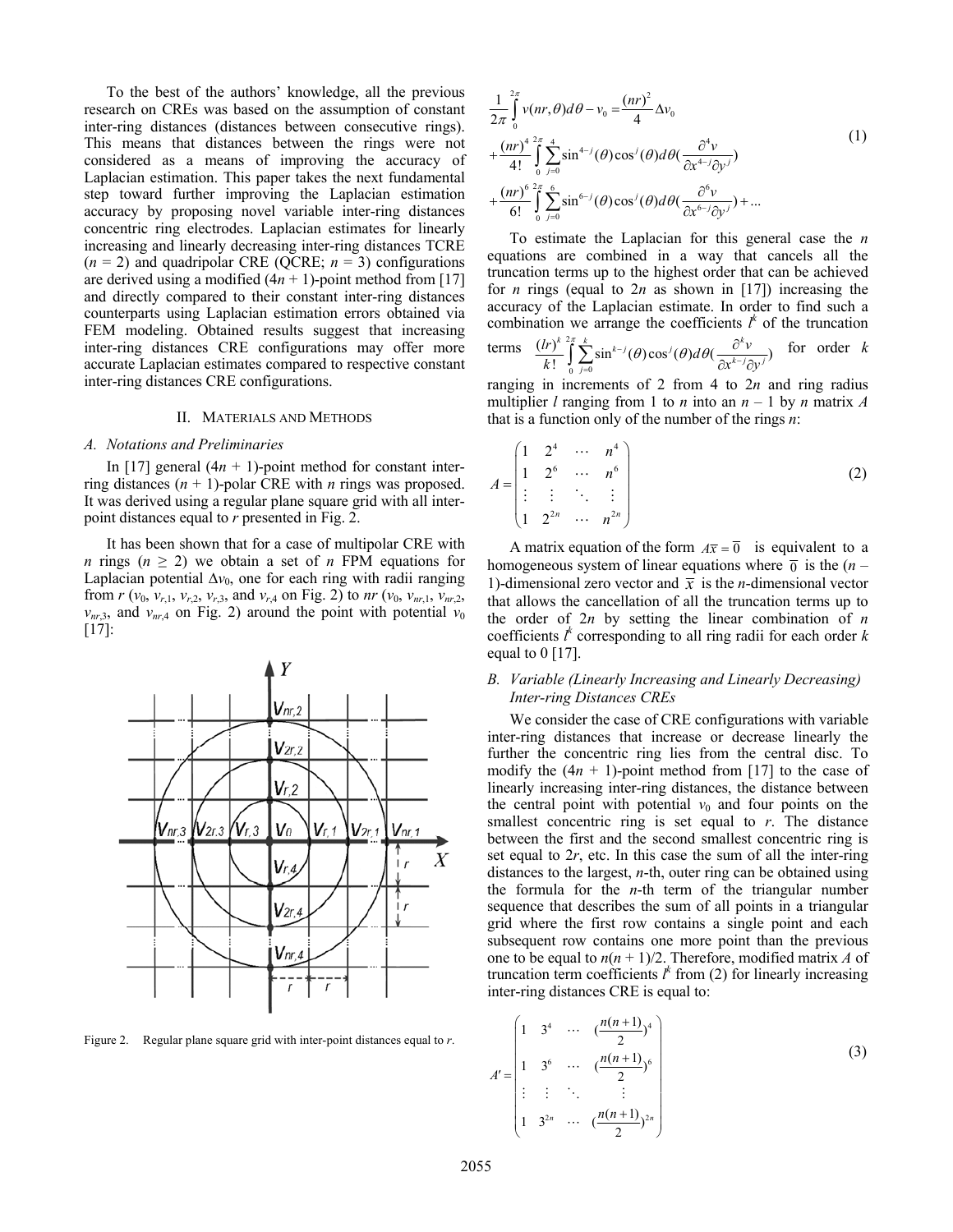To the best of the authors' knowledge, all the previous research on CREs was based on the assumption of constant inter-ring distances (distances between consecutive rings). This means that distances between the rings were not considered as a means of improving the accuracy of Laplacian estimation. This paper takes the next fundamental step toward further improving the Laplacian estimation accuracy by proposing novel variable inter-ring distances concentric ring electrodes. Laplacian estimates for linearly increasing and linearly decreasing inter-ring distances TCRE  $(n = 2)$  and quadripolar CRE (QCRE;  $n = 3$ ) configurations are derived using a modified  $(4n + 1)$ -point method from [17] and directly compared to their constant inter-ring distances counterparts using Laplacian estimation errors obtained via FEM modeling. Obtained results suggest that increasing inter-ring distances CRE configurations may offer more accurate Laplacian estimates compared to respective constant inter-ring distances CRE configurations.

#### II. MATERIALS AND METHODS

#### *A. Notations and Preliminaries*

In [17] general  $(4n + 1)$ -point method for constant interring distances (*n* + 1)-polar CRE with *n* rings was proposed. It was derived using a regular plane square grid with all interpoint distances equal to *r* presented in Fig. 2.

It has been shown that for a case of multipolar CRE with *n* rings ( $n \geq 2$ ) we obtain a set of *n* FPM equations for Laplacian potential  $\Delta v_0$ , one for each ring with radii ranging from *r* ( $v_0$ ,  $v_{r,1}$ ,  $v_{r,2}$ ,  $v_{r,3}$ , and  $v_{r,4}$  on Fig. 2) to *nr* ( $v_0$ ,  $v_{nr,1}$ ,  $v_{nr,2}$ ,  $v_{nr,3}$ , and  $v_{nr,4}$  on Fig. 2) around the point with potential  $v_0$ [17]:



Figure 2. Regular plane square grid with inter-point distances equal to *r*.

$$
\frac{1}{2\pi} \int_{0}^{2\pi} v(nr,\theta) d\theta - v_0 = \frac{(nr)^2}{4} \Delta v_0
$$
\n
$$
+ \frac{(nr)^4}{4!} \int_{0}^{2\pi} \int_{j=0}^{4} \sin^{4-j}(\theta) \cos^j(\theta) d\theta \left(\frac{\partial^4 v}{\partial x^{4-j} \partial y^j}\right)
$$
\n
$$
+ \frac{(nr)^6}{6!} \int_{0}^{2\pi} \int_{j=0}^{6} \sin^{6-j}(\theta) \cos^j(\theta) d\theta \left(\frac{\partial^6 v}{\partial x^{6-j} \partial y^j}\right) + \dots
$$
\n(1)

To estimate the Laplacian for this general case the *n* equations are combined in a way that cancels all the truncation terms up to the highest order that can be achieved for *n* rings (equal to 2*n* as shown in [17]) increasing the accuracy of the Laplacian estimate. In order to find such a combination we arrange the coefficients  $l^k$  of the truncation

terms 
$$
\frac{(lr)^k}{k!} \int_{0}^{2\pi} \sum_{j=0}^{k} \sin^{k-j}(\theta) \cos^j(\theta) d\theta \left(\frac{\partial^k v}{\partial x^{k-j} \partial y^j}\right)
$$
 for order k

ranging in increments of 2 from 4 to 2*n* and ring radius multiplier *l* ranging from 1 to *n* into an  $n - 1$  by *n* matrix *A* that is a function only of the number of the rings *n*:

$$
A = \begin{pmatrix} 1 & 2^4 & \cdots & n^4 \\ 1 & 2^6 & \cdots & n^6 \\ \vdots & \vdots & \ddots & \vdots \\ 1 & 2^{2n} & \cdots & n^{2n} \end{pmatrix}
$$
 (2)

A matrix equation of the form  $A\overline{x} = \overline{0}$  is equivalent to a homogeneous system of linear equations where  $\bar{0}$  is the  $(n -$ 1)-dimensional zero vector and  $\bar{x}$  is the *n*-dimensional vector that allows the cancellation of all the truncation terms up to the order of 2*n* by setting the linear combination of *n* coefficients  $l^k$  corresponding to all ring radii for each order  $k$ equal to  $0$  [17].

## *B. Variable (Linearly Increasing and Linearly Decreasing) Inter-ring Distances CREs*

We consider the case of CRE configurations with variable inter-ring distances that increase or decrease linearly the further the concentric ring lies from the central disc. To modify the  $(4n + 1)$ -point method from [17] to the case of linearly increasing inter-ring distances, the distance between the central point with potential  $v_0$  and four points on the smallest concentric ring is set equal to *r*. The distance between the first and the second smallest concentric ring is set equal to 2*r*, etc. In this case the sum of all the inter-ring distances to the largest, *n*-th, outer ring can be obtained using the formula for the *n*-th term of the triangular number sequence that describes the sum of all points in a triangular grid where the first row contains a single point and each subsequent row contains one more point than the previous one to be equal to  $n(n + 1)/2$ . Therefore, modified matrix *A* of truncation term coefficients  $l^k$  from (2) for linearly increasing inter-ring distances CRE is equal to:

$$
A' = \begin{pmatrix} 1 & 3^4 & \cdots & \left(\frac{n(n+1)}{2}\right)^4 \\ 1 & 3^6 & \cdots & \left(\frac{n(n+1)}{2}\right)^6 \\ \vdots & \vdots & \ddots & \vdots \\ 1 & 3^{2n} & \cdots & \left(\frac{n(n+1)}{2}\right)^{2n} \end{pmatrix}
$$
(3)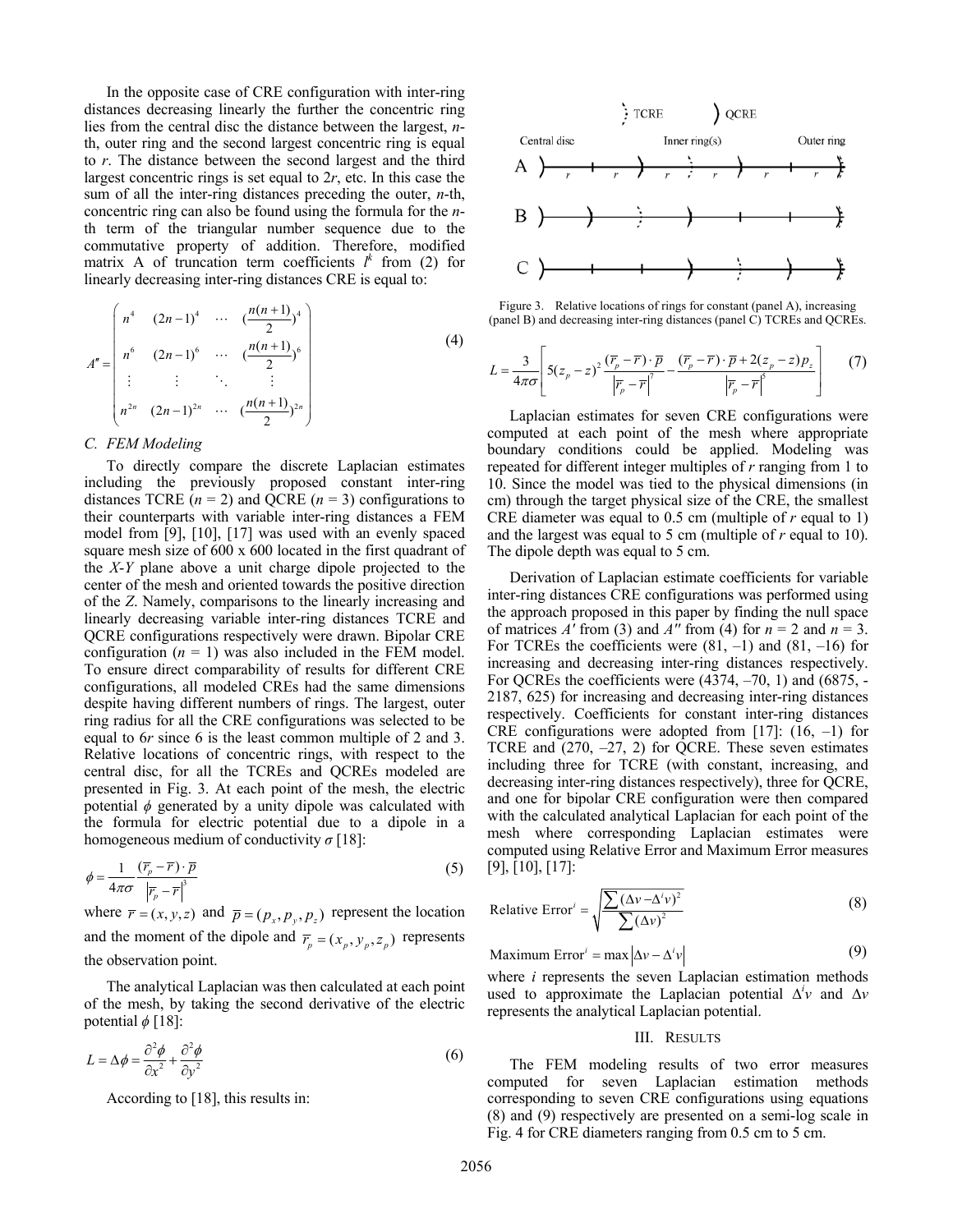In the opposite case of CRE configuration with inter-ring distances decreasing linearly the further the concentric ring lies from the central disc the distance between the largest, *n*th, outer ring and the second largest concentric ring is equal to *r*. The distance between the second largest and the third largest concentric rings is set equal to 2*r*, etc. In this case the sum of all the inter-ring distances preceding the outer, *n*-th, concentric ring can also be found using the formula for the *n*th term of the triangular number sequence due to the commutative property of addition. Therefore, modified matrix A of truncation term coefficients  $l^k$  from (2) for linearly decreasing inter-ring distances CRE is equal to:

$$
A'' = \begin{pmatrix} n^4 & (2n-1)^4 & \cdots & \left(\frac{n(n+1)}{2}\right)^4 \\ n^6 & (2n-1)^6 & \cdots & \left(\frac{n(n+1)}{2}\right)^6 \\ \vdots & \vdots & \ddots & \vdots \\ n^{2n} & (2n-1)^{2n} & \cdots & \left(\frac{n(n+1)}{2}\right)^{2n} \end{pmatrix} \tag{4}
$$

#### *C. FEM Modeling*

To directly compare the discrete Laplacian estimates including the previously proposed constant inter-ring distances TCRE  $(n = 2)$  and QCRE  $(n = 3)$  configurations to their counterparts with variable inter-ring distances a FEM model from [9], [10], [17] was used with an evenly spaced square mesh size of 600 x 600 located in the first quadrant of the *X*-*Y* plane above a unit charge dipole projected to the center of the mesh and oriented towards the positive direction of the *Z*. Namely, comparisons to the linearly increasing and linearly decreasing variable inter-ring distances TCRE and QCRE configurations respectively were drawn. Bipolar CRE configuration  $(n = 1)$  was also included in the FEM model. To ensure direct comparability of results for different CRE configurations, all modeled CREs had the same dimensions despite having different numbers of rings. The largest, outer ring radius for all the CRE configurations was selected to be equal to 6*r* since 6 is the least common multiple of 2 and 3. Relative locations of concentric rings, with respect to the central disc, for all the TCREs and QCREs modeled are presented in Fig. 3. At each point of the mesh, the electric potential  $\phi$  generated by a unity dipole was calculated with the formula for electric potential due to a dipole in a homogeneous medium of conductivity *σ* [18]:

$$
\phi = \frac{1}{4\pi\sigma} \frac{(\overline{r}_p - \overline{r}) \cdot \overline{p}}{|\overline{r}_p - \overline{r}|^3}
$$
(5)

where  $\overline{r} = (x, y, z)$  and  $\overline{p} = (p_x, p_y, p_z)$  represent the location and the moment of the dipole and  $\overline{r}_p = (x_p, y_p, z_p)$  represents the observation point.

The analytical Laplacian was then calculated at each point of the mesh, by taking the second derivative of the electric potential  $\phi$  [18]:

$$
L = \Delta \phi = \frac{\partial^2 \phi}{\partial x^2} + \frac{\partial^2 \phi}{\partial y^2}
$$
 (6)

According to [18], this results in:



Figure 3. Relative locations of rings for constant (panel A), increasing (panel B) and decreasing inter-ring distances (panel C) TCREs and QCREs.

$$
L = \frac{3}{4\pi\sigma} \left[ 5(z_p - z)^2 \frac{(\overline{r}_p - \overline{r}) \cdot \overline{p}}{|\overline{r}_p - \overline{r}|^7} - \frac{(\overline{r}_p - \overline{r}) \cdot \overline{p} + 2(z_p - z)p_z}{|\overline{r}_p - \overline{r}|^5} \right]
$$
(7)

Laplacian estimates for seven CRE configurations were computed at each point of the mesh where appropriate boundary conditions could be applied. Modeling was repeated for different integer multiples of *r* ranging from 1 to 10. Since the model was tied to the physical dimensions (in cm) through the target physical size of the CRE, the smallest CRE diameter was equal to 0.5 cm (multiple of *r* equal to 1) and the largest was equal to 5 cm (multiple of *r* equal to 10). The dipole depth was equal to 5 cm.

Derivation of Laplacian estimate coefficients for variable inter-ring distances CRE configurations was performed using the approach proposed in this paper by finding the null space of matrices  $A'$  from (3) and  $A''$  from (4) for  $n = 2$  and  $n = 3$ . For TCREs the coefficients were  $(81, -1)$  and  $(81, -16)$  for increasing and decreasing inter-ring distances respectively. For QCREs the coefficients were  $(4374, -70, 1)$  and  $(6875, -1)$ 2187, 625) for increasing and decreasing inter-ring distances respectively. Coefficients for constant inter-ring distances CRE configurations were adopted from [17]:  $(16, -1)$  for TCRE and (270, –27, 2) for QCRE. These seven estimates including three for TCRE (with constant, increasing, and decreasing inter-ring distances respectively), three for QCRE, and one for bipolar CRE configuration were then compared with the calculated analytical Laplacian for each point of the mesh where corresponding Laplacian estimates were computed using Relative Error and Maximum Error measures [9], [10], [17]:

Relative Error<sup>*i*</sup> = 
$$
\sqrt{\frac{\sum (\Delta v - \Delta^i v)^2}{\sum (\Delta v)^2}}
$$
 (8)

Maximum Error' = max 
$$
|\Delta v - \Delta' v|
$$
 (9)

where *i* represents the seven Laplacian estimation methods used to approximate the Laplacian potential  $\Delta^i v$  and  $\Delta v$ represents the analytical Laplacian potential.

#### III. RESULTS

The FEM modeling results of two error measures computed for seven Laplacian estimation methods corresponding to seven CRE configurations using equations (8) and (9) respectively are presented on a semi-log scale in Fig. 4 for CRE diameters ranging from 0.5 cm to 5 cm.